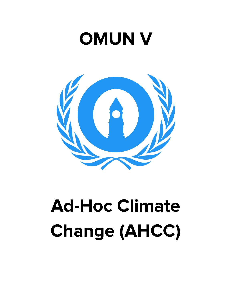## **OMUN V**



# **Ad-Hoc Climate Change (AHCC)**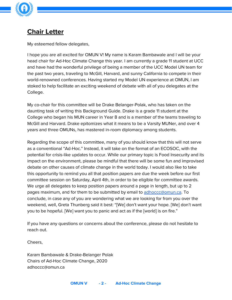

### **Chair Letter**

My esteemed fellow delegates,

I hope you are all excited for OMUN V! My name is Karam Bambawale and I will be your head chair for Ad-Hoc Climate Change this year. I am currently a grade 11 student at UCC and have had the wonderful privilege of being a member of the UCC Model UN team for the past two years, traveling to McGill, Harvard, and sunny California to compete in their world-renowned conferences. Having started my Model UN experience at OMUN, I am stoked to help facilitate an exciting weekend of debate with all of you delegates at the College.

My co-chair for this committee will be Drake Belanger-Polak, who has taken on the daunting task of writing this Background Guide. Drake is a grade 11 student at the College who began his MUN career in Year 8 and is a member of the teams traveling to McGill and Harvard. Drake epitomizes what it means to be a Varsity MUNer, and over 4 years and three OMUNs, has mastered in-room diplomacy among students.

Regarding the scope of this committee, many of you should know that this will not serve as a conventional "Ad-Hoc." Instead, it will take on the format of an ECOSOC, with the potential for crisis-like updates to occur. While our primary topic is Food Insecurity and its impact on the environment, please be mindful that there will be some fun and improvised debate on other causes of climate change in the world today. I would also like to take this opportunity to remind you all that position papers are due the week before our first committee session on Saturday, April 4th, in order to be eligible for committee awards. We urge all delegates to keep position papers around a page in length, but up to 2 pages maximum, and for them to be submitted by email to [adhoccc@omun.ca](mailto:adhoccc@omun.ca). To conclude, in case any of you are wondering what we are looking for from you over the weekend, well, Greta Thunberg said it best: "[We] don't want your hope. [We] don't want you to be hopeful. [We] want you to panic and act as if the [world] is on fire."

If you have any questions or concerns about the conference, please do not hesitate to reach out.

Cheers,

Karam Bambawale & Drake-Belanger Polak Chairs of Ad-Hoc Climate Change, 2020 adhoccc@omun.ca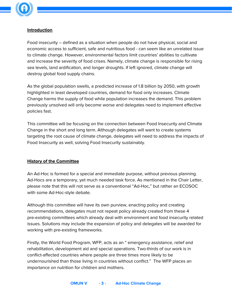

#### **Introduction**

Food insecurity – defined as a situation when people do not have physical, social and economic access to sufficient, safe and nutritious food - can seem like an unrelated issue to climate change. However, environmental factors limit countries' abilities to cultivate and increase the severity of food crises. Namely, climate change is responsible for rising sea levels, land ardification, and longer droughts. If left ignored, climate change will destroy global food supply chains.

As the global population swells, a predicted increase of 1.8 billion by 2050, with growth highlighted in least developed countries, demand for food only increases. Climate Change harms the supply of food while population increases the demand. This problem previously unsolved will only become worse and delegates need to implement effective policies fast.

This committee will be focusing on the connection between Food Insecurity and Climate Change in the short and long term. Although delegates will want to create systems targeting the root cause of climate change, delegates will need to address the impacts of Food Insecurity as well, solving Food Insecurity sustainably.

#### **History of the Committee**

An Ad-Hoc is formed for a special and immediate purpose, without previous planning. Ad-Hocs are a temporary, yet much needed task force. As mentioned in the Chair Letter, please note that this will not serve as a conventional "Ad-Hoc," but rather an ECOSOC with some Ad-Hoc-style debate.

Although this committee will have its own purview, enacting policy and creating recommendations, delegates must not repeat policy already created from these 4 pre-existing committees which already deal with environment and food insecurity related issues. Solutions may include the expansion of policy and delegates will be awarded for working with pre-existing frameworks.

Firstly, the World Food Program, WFP, acts as an " emergency assistance, relief and rehabilitation, development aid and special operations. Two-thirds of our work is in conflict-affected countries where people are three times more likely to be undernourished than those living in countries without conflict." The WFP places an importance on nutrition for children and mothers.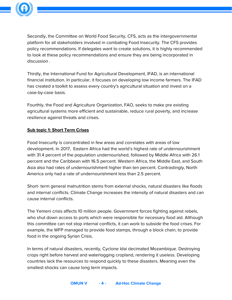

Secondly, the Committee on World Food Security, CFS, acts as the intergovernmental platform for all stakeholders involved in combating Food Insecurity. The CFS provides policy recommendations. If delegates want to create solutions, it is highly recommended to look at these policy recommendations and ensure they are being incorporated in discussion .

Thirdly, the International Fund for Agricultural Development, IFAD, is an international financial institution. In particular, it focuses on developing low income farmers. The IFAD has created a toolkit to assess every country's agricultural situation and invest on a case-by-case basis.

Fourthly, the Food and Agriculture Organization, FAO, seeks to make pre existing agricultural systems more efficient and sustainable, reduce rural poverty, and increase resilience against threats and crises.

#### **Sub topic 1: Short Term Crises**

Food Insecurity is concentrated in few areas and correlates with areas of low development. In 2017, Eastern Africa had the world's highest rate of undernourishment with 31.4 percent of the population undernourished, followed by Middle Africa with 26.1 percent and the Caribbean with 16.5 percent. Western Africa, the Middle East, and South Asia also had rates of undernourishment higher than ten percent. Contrastingly, North America only had a rate of undernourishment less than 2.5 percent.

Short- term general malnutrition stems from external shocks, natural disasters like floods and internal conflicts. Climate Change increases the intensity of natural disasters and can cause internal conflicts.

The Yemeni crisis affects 10 million people. Government forces fighting against rebels, who shut down access to ports which were responsible for necessary food aid. Although this committee can not stop internal conflicts, it can work to subside the food crises. For example, the WFP managed to provide food stamps, through a block chain, to provide food in the ongoing Syrian Crisis.

In terms of natural disasters, recently, Cyclone Idai decimated Mozambique. Destroying crops right before harvest and waterlogging cropland, rendering it useless. Developing countries lack the resources to respond quickly to these disasters. Meaning even the smallest shocks can cause long term impacts.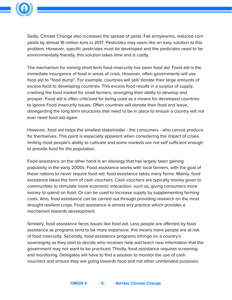

Sadly, Climate Change also increases the spread of pests. Fall armyworms, reduced corn yields by almost 16 million tons in 2017. Pesticides may seem like an easy solution to this problem. However, specific pesticides must be developed and the pesticides need to be environmentally friendly, this solution takes time and is costly.

The mechanism for solving short term food insecurity has been food aid. Food aid is the immediate insurgence of food in areas of crisis. However, often governments will use food aid to "food dump". For example, countries will sell/ donate their large amounts of excess food to developing countries. This excess food results in a surplus of supply, crashing the food market for small farmers, strangling their ability to develop and prosper. Food aid is often criticized for being used as a means for developed countries to ignore Food Insecurity issues. Often countries will donate their food and leave, disregarding the long term structures that need to be in place to ensure a country will not ever need food aid again.

However, food aid helps the smallest stakeholder - the consumers - who cannot produce for themselves. This point is especially apparent when considering the impact of crises limiting most people's ability to cultivate and some markets are not self sufficient enough to provide food for the population.

Food assistance on the other hand is an ideology that has largely been gaining popularity in the early 2000s. Food assistance works with local farmers, with the goal of these nations to never require food aid. food assistance takes many forms. Mainly, food assistance takes the form of cash vouchers. Cash vouchers are typically money given to communities to stimulate more economic interaction- such as, giving consumers more money to spend on food. Or can be used to increase supply by supplementing farming costs. Also, food assistance can be carried out through providing research on the most drought resilient crops. Food assistance is almost any practice which provides a mechanism towards development.

Similarly, food assistance faces issues like food aid. Less people are affected by food assistance as programs tend to be more expensive, this means more people are at risk of food insecurity. Secondly, food assistance programs infringe on a country's sovereignty as they start to decide who receives help and teach new information that the government may not want to be practiced. Thirdly, food assistance requires screening and monitoring. Delegates will have to find a solution to monitor the use of cash vouchers and ensure they are going towards food and not other unintended purposes.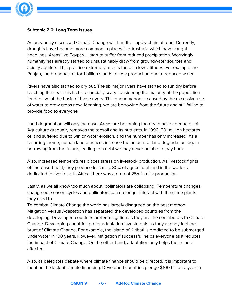

#### **Subtopic 2.0: Long Term Issues**

As previously discussed Climate Change will hurt the supply chain of food. Currently, droughts have become more common in places like Australia which have caught headlines. Areas like Egypt will start to suffer from reduced precipitation. Worryingly, humanity has already started to unsustainably draw from groundwater sources and acidify aquifers. This practice extremely affects those in low latitudes. For example the Punjab, the breadbasket for 1 billion stands to lose production due to reduced water.

Rivers have also started to dry out. The six major rivers have started to run dry before reaching the sea. This fact is especially scary considering the majority of the population tend to live at the basin of these rivers. This phenomenon is caused by the excessive use of water to grow crops now. Meaning, we are borrowing from the future and still failing to provide food to everyone.

Land degradation will only increase. Areas are becoming too dry to have adequate soil. Agriculture gradually removes the topsoil and its nutrients. In 1990, 201 million hectares of land suffered due to win or water erosion, and the number has only increased. As a recurring theme, human land practices increase the amount of land degradation, again borrowing from the future, leading to a debt we may never be able to pay back.

Also, increased temperatures places stress on livestock production. As livestock fights off increased heat, they produce less milk. 80% of agricultural land in the world is dedicated to livestock. In Africa, there was a drop of 25% in milk production.

Lastly, as we all know too much about, pollinators are collapsing. Temperature changes change our season cycles and pollinators can no longer interact with the same plants they used to.

To combat Climate Change the world has largely disagreed on the best method. Mitigation versus Adaptation has separated the developed countries from the developing. Developed countries prefer mitigation as they are the contributors to Climate Change. Developing countries prefer adaptation investments as they already feel the brunt of Climate Change. For example, the island of Kiribati is predicted to be submerged underwater in 100 years. However, mitigation if successful helps everyone as it reduces the impact of Climate Change. On the other hand, adaptation only helps those most affected.

Also, as delegates debate where climate finance should be directed, it is important to mention the lack of climate financing. Developed countries pledge \$100 billion a year in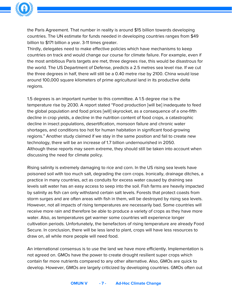

the Paris Agreement. That number in reality is around \$15 billion towards developing countries. The UN estimate for funds needed in developing countries ranges from \$49 billion to \$171 billion a year. 3-11 times greater.

Thirdly, delegates need to make effective policies which have mechanisms to keep countries on track and would change our course for climate failure. For example, even if the most ambitious Paris targets are met, three degrees rise, this would be disastrous for the world. The US Department of Defense, predicts a 2.5 metres sea level rise. If we cut the three degrees in half, there will still be a 0.40 metre rise by 2100. China would lose around 100,000 square kilometers of prime agricultural land in its productive delta regions.

1.5 degrees is an important number to this committee. A 1.5 degree rise is the temperature rise by 2030. A report stated "Food production [will be] inadequate to feed the global population and food prices [will] skyrocket, as a consequence of a one-fifth decline in crop yields, a decline in the nutrition content of food crops, a catastrophic decline in insect populations, desertification, monsoon failure and chronic water shortages, and conditions too hot for human habitation in significant food-growing regions." Another study claimed if we stay in the same position and fail to create new technology, there will be an increase of 1.7 billion undernourished in 2050. Although these reports may seem extreme, they should still be taken into account when discussing the need for climate policy.

Rising salinity is extremely damaging to rice and corn. In the US rising sea levels have poisoned soil with too much salt, degrading the corn crops. Ironically, drainage ditches, a practice in many countries, act as conduits for excess water caused by draining sea levels salt water has an easy access to seep into the soil. Fish farms are heavily impacted by salinity as fish can only withstand certain salt levels. Forests that protect coasts from storm surges and are often areas with fish in them, will be destroyed by rising sea levels. However, not all impacts of rising temperatures are necessarily bad. Some countries will receive more rain and therefore be able to produce a variety of crops as they have more water. Also, as temperatures get warmer some countries will experience longer cultivation periods. Unfortunately, the benefactors of rising temperature are already Food Secure. In conclusion, there will be less land to plant, crops will have less resources to draw on, all while more people will need food.

An international consensus is to use the land we have more efficiently. Implementation is not agreed on. GMOs have the power to create drought resilient super crops which contain far more nutrients compared to any other alternative. Also, GMOs are quick to develop. However, GMOs are largely criticized by developing countries. GMOs often out